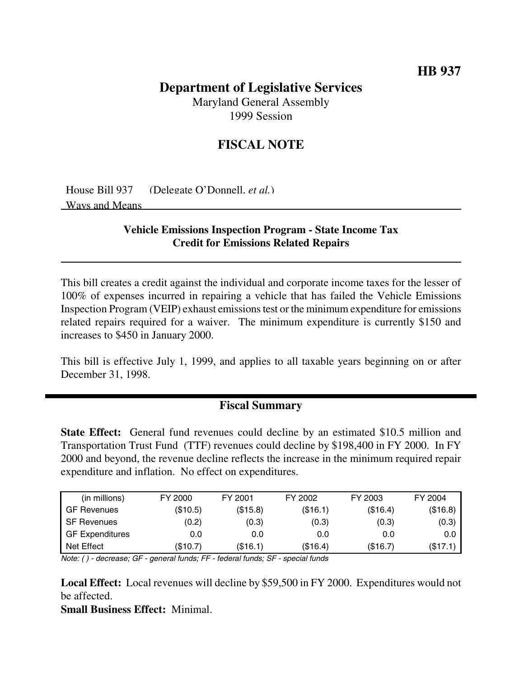# **Department of Legislative Services**

Maryland General Assembly 1999 Session

## **FISCAL NOTE**

House Bill 937 (Delegate O'Donnell, *et al.*) Ways and Means

#### **Vehicle Emissions Inspection Program - State Income Tax Credit for Emissions Related Repairs**

This bill creates a credit against the individual and corporate income taxes for the lesser of 100% of expenses incurred in repairing a vehicle that has failed the Vehicle Emissions Inspection Program (VEIP) exhaust emissions test or the minimum expenditure for emissions related repairs required for a waiver. The minimum expenditure is currently \$150 and increases to \$450 in January 2000.

This bill is effective July 1, 1999, and applies to all taxable years beginning on or after December 31, 1998.

### **Fiscal Summary**

**State Effect:** General fund revenues could decline by an estimated \$10.5 million and Transportation Trust Fund (TTF) revenues could decline by \$198,400 in FY 2000. In FY 2000 and beyond, the revenue decline reflects the increase in the minimum required repair expenditure and inflation. No effect on expenditures.

| (in millions)          | FY 2000  | FY 2001  | FY 2002  | FY 2003  | FY 2004  |
|------------------------|----------|----------|----------|----------|----------|
| GF Revenues            | (\$10.5) | (\$15.8) | (\$16.1) | (\$16.4) | (\$16.8) |
| <b>SF Revenues</b>     | (0.2)    | (0.3)    | (0.3)    | (0.3)    | (0.3)    |
| <b>GF Expenditures</b> | 0.0      | 0.0      | 0.0      | 0.0      | 0.0      |
| Net Effect             | (\$10.7) | (\$16.1) | (\$16.4) | (\$16.7) | (\$17.1) |

Note: ( ) - decrease; GF - general funds; FF - federal funds; SF - special funds

**Local Effect:** Local revenues will decline by \$59,500 in FY 2000. Expenditures would not be affected.

**Small Business Effect:** Minimal.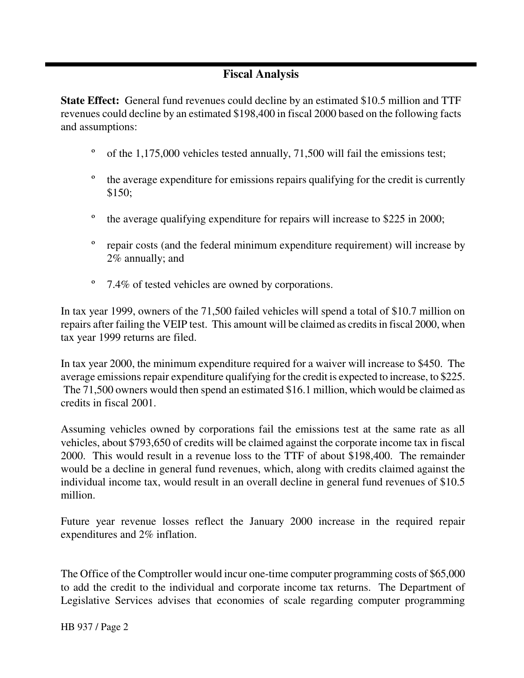## **Fiscal Analysis**

**State Effect:** General fund revenues could decline by an estimated \$10.5 million and TTF revenues could decline by an estimated \$198,400 in fiscal 2000 based on the following facts and assumptions:

- º of the 1,175,000 vehicles tested annually, 71,500 will fail the emissions test;
- <sup>o</sup> the average expenditure for emissions repairs qualifying for the credit is currently \$150;
- º the average qualifying expenditure for repairs will increase to \$225 in 2000;
- º repair costs (and the federal minimum expenditure requirement) will increase by 2% annually; and
- º 7.4% of tested vehicles are owned by corporations.

In tax year 1999, owners of the 71,500 failed vehicles will spend a total of \$10.7 million on repairs after failing the VEIP test. This amount will be claimed as credits in fiscal 2000, when tax year 1999 returns are filed.

In tax year 2000, the minimum expenditure required for a waiver will increase to \$450. The average emissions repair expenditure qualifying for the credit is expected to increase, to \$225. The 71,500 owners would then spend an estimated \$16.1 million, which would be claimed as credits in fiscal 2001.

Assuming vehicles owned by corporations fail the emissions test at the same rate as all vehicles, about \$793,650 of credits will be claimed against the corporate income tax in fiscal 2000. This would result in a revenue loss to the TTF of about \$198,400. The remainder would be a decline in general fund revenues, which, along with credits claimed against the individual income tax, would result in an overall decline in general fund revenues of \$10.5 million.

Future year revenue losses reflect the January 2000 increase in the required repair expenditures and 2% inflation.

The Office of the Comptroller would incur one-time computer programming costs of \$65,000 to add the credit to the individual and corporate income tax returns. The Department of Legislative Services advises that economies of scale regarding computer programming